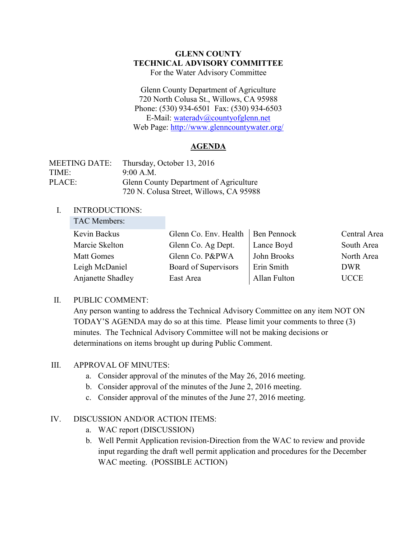### **GLENN COUNTY TECHNICAL ADVISORY COMMITTEE** For the Water Advisory Committee

Glenn County Department of Agriculture 720 North Colusa St., Willows, CA 95988 Phone: (530) 934-6501 Fax: (530) 934-6503 E-Mail: [wateradv@countyofglenn.net](mailto:wateradv@countyofglenn.net) Web Page:<http://www.glenncountywater.org/>

## **AGENDA**

| <b>MEETING DATE:</b> | Thursday, October 13, 2016              |
|----------------------|-----------------------------------------|
| TIME:                | 9:00 A.M.                               |
| PLACE:               | Glenn County Department of Agriculture  |
|                      | 720 N. Colusa Street, Willows, CA 95988 |

#### I. INTRODUCTIONS: TAC Members:

| TAC Members:      |                       |              |              |
|-------------------|-----------------------|--------------|--------------|
| Kevin Backus      | Glenn Co. Env. Health | Ben Pennock  | Central Area |
| Marcie Skelton    | Glenn Co. Ag Dept.    | Lance Boyd   | South Area   |
| <b>Matt Gomes</b> | Glenn Co. P&PWA       | John Brooks  | North Area   |
| Leigh McDaniel    | Board of Supervisors  | Erin Smith   | <b>DWR</b>   |
| Anjanette Shadley | East Area             | Allan Fulton | <b>UCCE</b>  |

## II. PUBLIC COMMENT:

Any person wanting to address the Technical Advisory Committee on any item NOT ON TODAY'S AGENDA may do so at this time. Please limit your comments to three (3) minutes. The Technical Advisory Committee will not be making decisions or determinations on items brought up during Public Comment.

### III. APPROVAL OF MINUTES:

- a. Consider approval of the minutes of the May 26, 2016 meeting.
- b. Consider approval of the minutes of the June 2, 2016 meeting.
- c. Consider approval of the minutes of the June 27, 2016 meeting.

## IV. DISCUSSION AND/OR ACTION ITEMS:

- a. WAC report (DISCUSSION)
- b. Well Permit Application revision-Direction from the WAC to review and provide input regarding the draft well permit application and procedures for the December WAC meeting. (POSSIBLE ACTION)